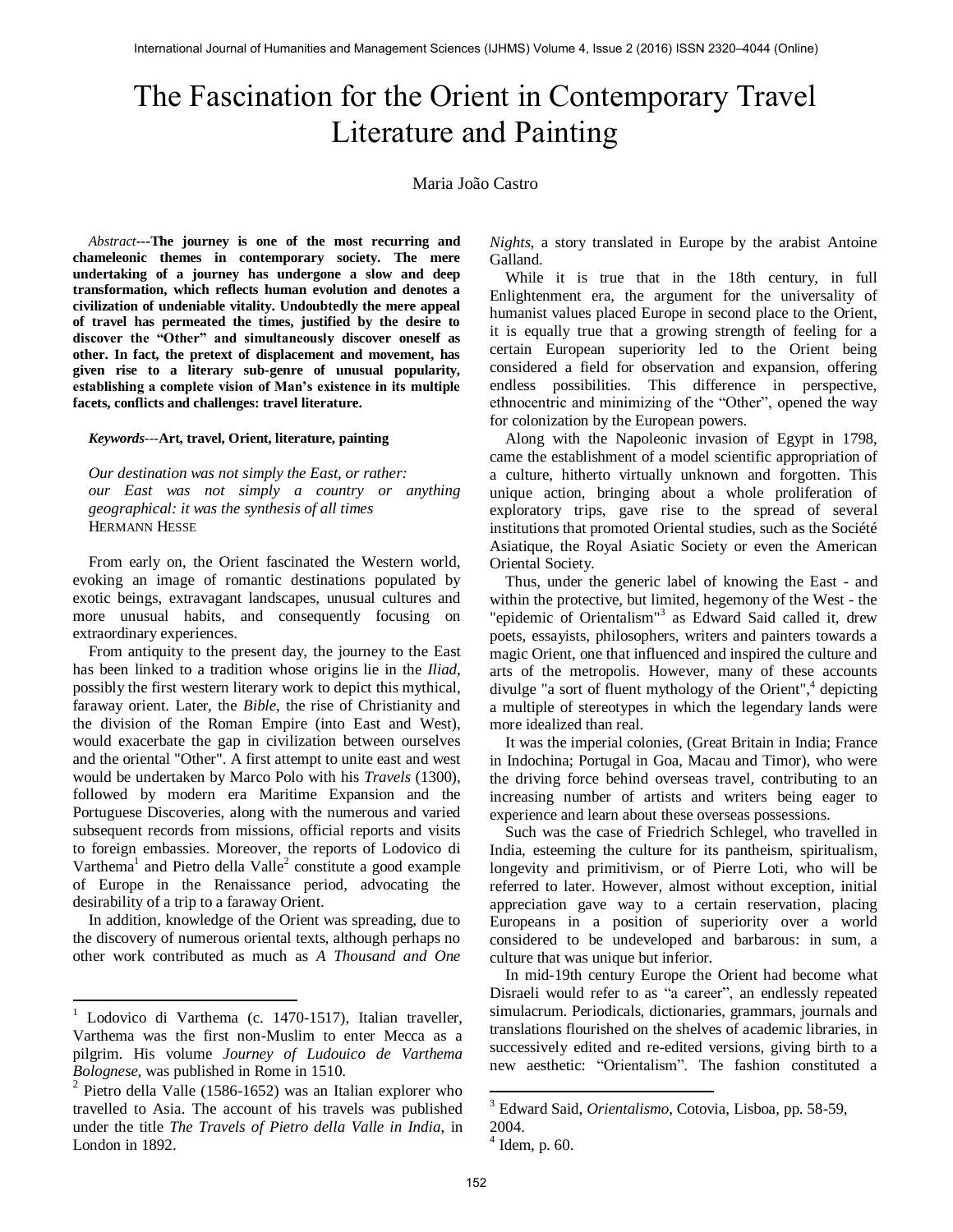# The Fascination for the Orient in Contemporary Travel Literature and Painting

## Maria João Castro

*Abstract***---The journey is one of the most recurring and chameleonic themes in contemporary society. The mere undertaking of a journey has undergone a slow and deep transformation, which reflects human evolution and denotes a civilization of undeniable vitality. Undoubtedly the mere appeal of travel has permeated the times, justified by the desire to discover the "Other" and simultaneously discover oneself as other. In fact, the pretext of displacement and movement, has given rise to a literary sub-genre of unusual popularity, establishing a complete vision of Man's existence in its multiple facets, conflicts and challenges: travel literature.** 

#### *Keywords---***Art, travel, Orient, literature, painting**

*Our destination was not simply the East, or rather: our East was not simply a country or anything geographical: it was the synthesis of all times*  HERMANN HESSE

From early on, the Orient fascinated the Western world, evoking an image of romantic destinations populated by exotic beings, extravagant landscapes, unusual cultures and more unusual habits, and consequently focusing on extraordinary experiences.

From antiquity to the present day, the journey to the East has been linked to a tradition whose origins lie in the *Iliad*, possibly the first western literary work to depict this mythical, faraway orient. Later, the *Bible*, the rise of Christianity and the division of the Roman Empire (into East and West), would exacerbate the gap in civilization between ourselves and the oriental "Other". A first attempt to unite east and west would be undertaken by Marco Polo with his *Travels* (1300)*,* followed by modern era Maritime Expansion and the Portuguese Discoveries, along with the numerous and varied subsequent records from missions, official reports and visits to foreign embassies. Moreover, the reports of Lodovico di Varthema<sup>1</sup> and Pietro della Valle<sup>2</sup> constitute a good example of Europe in the Renaissance period, advocating the desirability of a trip to a faraway Orient.

In addition, knowledge of the Orient was spreading, due to the discovery of numerous oriental texts, although perhaps no other work contributed as much as *A Thousand and One* 

 $\overline{a}$ 

*Nights*, a story translated in Europe by the arabist Antoine Galland.

While it is true that in the 18th century, in full Enlightenment era, the argument for the universality of humanist values placed Europe in second place to the Orient, it is equally true that a growing strength of feeling for a certain European superiority led to the Orient being considered a field for observation and expansion, offering endless possibilities. This difference in perspective, ethnocentric and minimizing of the "Other", opened the way for colonization by the European powers.

Along with the Napoleonic invasion of Egypt in 1798, came the establishment of a model scientific appropriation of a culture, hitherto virtually unknown and forgotten. This unique action, bringing about a whole proliferation of exploratory trips, gave rise to the spread of several institutions that promoted Oriental studies, such as the Société Asiatique, the Royal Asiatic Society or even the American Oriental Society.

Thus, under the generic label of knowing the East - and within the protective, but limited, hegemony of the West - the "epidemic of Orientalism"<sup>3</sup> as Edward Said called it, drew poets, essayists, philosophers, writers and painters towards a magic Orient, one that influenced and inspired the culture and arts of the metropolis. However, many of these accounts divulge "a sort of fluent mythology of the Orient",<sup>4</sup> depicting a multiple of stereotypes in which the legendary lands were more idealized than real.

It was the imperial colonies, (Great Britain in India; France in Indochina; Portugal in Goa, Macau and Timor), who were the driving force behind overseas travel, contributing to an increasing number of artists and writers being eager to experience and learn about these overseas possessions.

Such was the case of Friedrich Schlegel, who travelled in India, esteeming the culture for its pantheism, spiritualism, longevity and primitivism, or of Pierre Loti, who will be referred to later. However, almost without exception, initial appreciation gave way to a certain reservation, placing Europeans in a position of superiority over a world considered to be undeveloped and barbarous: in sum, a culture that was unique but inferior.

In mid-19th century Europe the Orient had become what Disraeli would refer to as "a career", an endlessly repeated simulacrum. Periodicals, dictionaries, grammars, journals and translations flourished on the shelves of academic libraries, in successively edited and re-edited versions, giving birth to a new aesthetic: "Orientalism". The fashion constituted a

 $1$  Lodovico di Varthema (c. 1470-1517), Italian traveller, Varthema was the first non-Muslim to enter Mecca as a pilgrim. His volume *Journey of Ludouico de Varthema Bolognese,* was published in Rome in 1510.

<sup>2</sup> Pietro della Valle (1586-1652) was an Italian explorer who travelled to Asia. The account of his travels was published under the title *The Travels of Pietro della Valle in India*, in London in 1892.

 3 Edward Said, *Orientalismo*, Cotovia, Lisboa, pp. 58-59,

<sup>2004.</sup> 

<sup>4</sup> Idem, p. 60.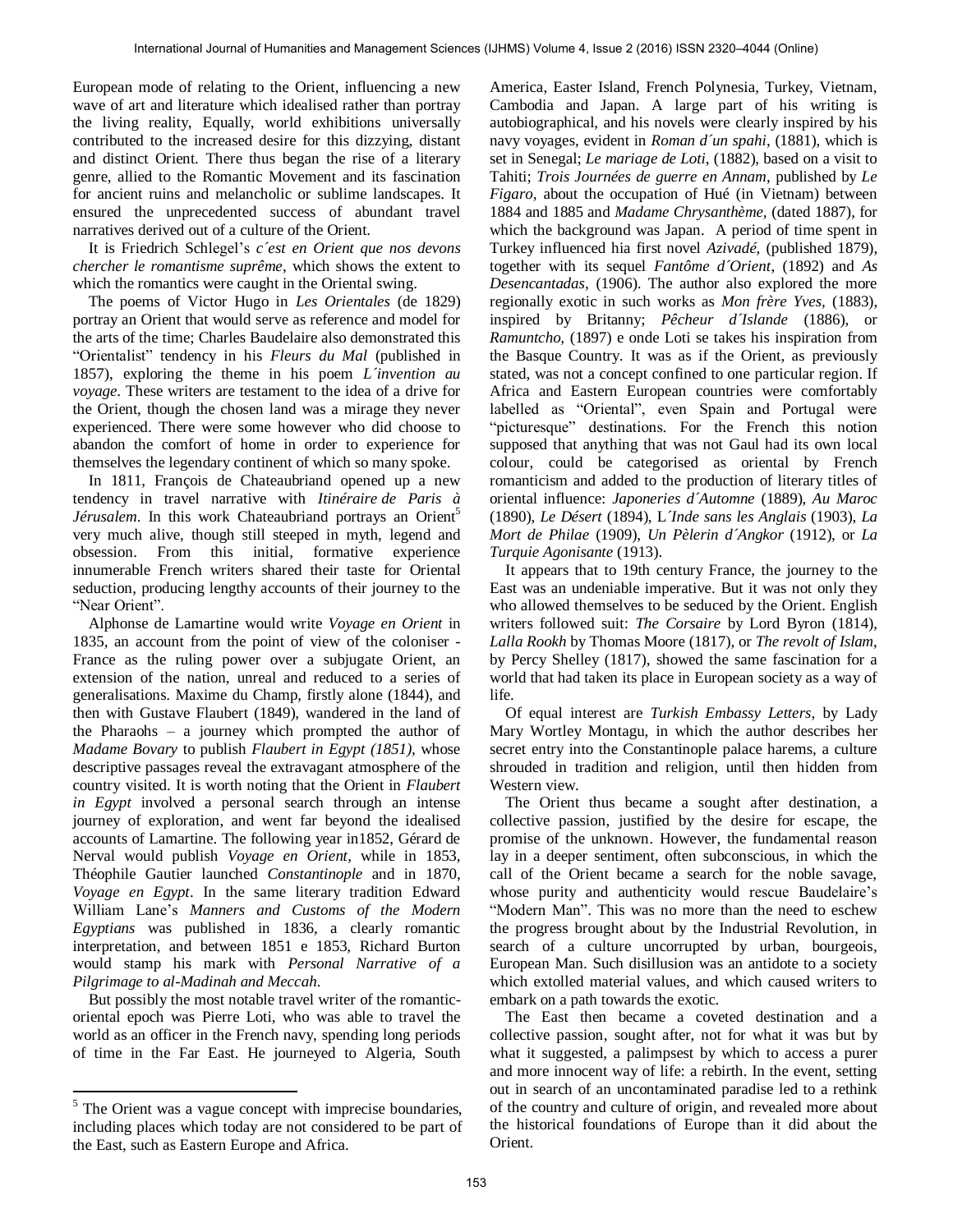European mode of relating to the Orient, influencing a new wave of art and literature which idealised rather than portray the living reality, Equally, world exhibitions universally contributed to the increased desire for this dizzying, distant and distinct Orient. There thus began the rise of a literary genre, allied to the Romantic Movement and its fascination for ancient ruins and melancholic or sublime landscapes. It ensured the unprecedented success of abundant travel narratives derived out of a culture of the Orient.

It is Friedrich Schlegel's *c´est en Orient que nos devons chercher le romantisme suprême*, which shows the extent to which the romantics were caught in the Oriental swing.

The poems of Victor Hugo in *Les Orientales* (de 1829) portray an Orient that would serve as reference and model for the arts of the time; Charles Baudelaire also demonstrated this "Orientalist" tendency in his *Fleurs du Mal* (published in 1857), exploring the theme in his poem *L´invention au voyage*. These writers are testament to the idea of a drive for the Orient, though the chosen land was a mirage they never experienced. There were some however who did choose to abandon the comfort of home in order to experience for themselves the legendary continent of which so many spoke.

In 1811, François de Chateaubriand opened up a new tendency in travel narrative with *Itinéraire de Paris à Jérusalem*. In this work Chateaubriand portrays an Orient<sup>5</sup> very much alive, though still steeped in myth, legend and obsession. From this initial, formative experience innumerable French writers shared their taste for Oriental seduction, producing lengthy accounts of their journey to the "Near Orient".

Alphonse de Lamartine would write *Voyage en Orient* in 1835, an account from the point of view of the coloniser - France as the ruling power over a subjugate Orient, an extension of the nation, unreal and reduced to a series of generalisations. Maxime du Champ, firstly alone (1844), and then with Gustave Flaubert (1849), wandered in the land of the Pharaohs – a journey which prompted the author of *Madame Bovary* to publish *Flaubert in Egypt (1851)*, whose descriptive passages reveal the extravagant atmosphere of the country visited. It is worth noting that the Orient in *Flaubert in Egypt* involved a personal search through an intense journey of exploration, and went far beyond the idealised accounts of Lamartine. The following year in1852, Gérard de Nerval would publish *Voyage en Orient*, while in 1853, Théophile Gautier launched *Constantinople* and in 1870, *Voyage en Egypt*. In the same literary tradition Edward William Lane's *Manners and Customs of the Modern Egyptians* was published in 1836, a clearly romantic interpretation, and between 1851 e 1853, Richard Burton would stamp his mark with *Personal Narrative of a Pilgrimage to al-Madinah and Meccah*.

But possibly the most notable travel writer of the romanticoriental epoch was Pierre Loti, who was able to travel the world as an officer in the French navy, spending long periods of time in the Far East. He journeyed to Algeria, South

 $\ddot{\phantom{a}}$ 

America, Easter Island, French Polynesia, Turkey, Vietnam, Cambodia and Japan. A large part of his writing is autobiographical, and his novels were clearly inspired by his navy voyages, evident in *Roman d´un spahi*, (1881), which is set in Senegal; *Le mariage de Loti*, (1882), based on a visit to Tahiti; *Trois Journées de guerre en Annam*, published by *Le Figaro*, about the occupation of Hué (in Vietnam) between 1884 and 1885 and *Madame Chrysanthème*, (dated 1887), for which the background was Japan. A period of time spent in Turkey influenced hia first novel *Azivadé,* (published 1879), together with its sequel *Fantôme d´Orient*, (1892) and *As Desencantadas*, (1906). The author also explored the more regionally exotic in such works as *Mon frère Yves,* (1883), inspired by Britanny; *Pêcheur d´Islande* (1886), or *Ramuntcho,* (1897) e onde Loti se takes his inspiration from the Basque Country. It was as if the Orient, as previously stated, was not a concept confined to one particular region. If Africa and Eastern European countries were comfortably labelled as "Oriental", even Spain and Portugal were "picturesque" destinations. For the French this notion supposed that anything that was not Gaul had its own local colour, could be categorised as oriental by French romanticism and added to the production of literary titles of oriental influence: *Japoneries d´Automne* (1889), *Au Maroc* (1890), *Le Désert* (1894), L*´Inde sans les Anglais* (1903), *La Mort de Philae* (1909), *Un Pèlerin d´Angkor* (1912), or *La Turquie Agonisante* (1913).

It appears that to 19th century France, the journey to the East was an undeniable imperative. But it was not only they who allowed themselves to be seduced by the Orient. English writers followed suit: *The Corsaire* by Lord Byron (1814), *Lalla Rookh* by Thomas Moore (1817), or *The revolt of Islam*, by Percy Shelley (1817), showed the same fascination for a world that had taken its place in European society as a way of life.

Of equal interest are *Turkish Embassy Letters*, by Lady Mary Wortley Montagu, in which the author describes her secret entry into the Constantinople palace harems, a culture shrouded in tradition and religion, until then hidden from Western view.

The Orient thus became a sought after destination, a collective passion, justified by the desire for escape, the promise of the unknown. However, the fundamental reason lay in a deeper sentiment, often subconscious, in which the call of the Orient became a search for the noble savage, whose purity and authenticity would rescue Baudelaire's "Modern Man". This was no more than the need to eschew the progress brought about by the Industrial Revolution, in search of a culture uncorrupted by urban, bourgeois, European Man. Such disillusion was an antidote to a society which extolled material values, and which caused writers to embark on a path towards the exotic.

The East then became a coveted destination and a collective passion, sought after, not for what it was but by what it suggested, a palimpsest by which to access a purer and more innocent way of life: a rebirth. In the event, setting out in search of an uncontaminated paradise led to a rethink of the country and culture of origin, and revealed more about the historical foundations of Europe than it did about the Orient.

<sup>&</sup>lt;sup>5</sup> The Orient was a vague concept with imprecise boundaries, including places which today are not considered to be part of the East, such as Eastern Europe and Africa.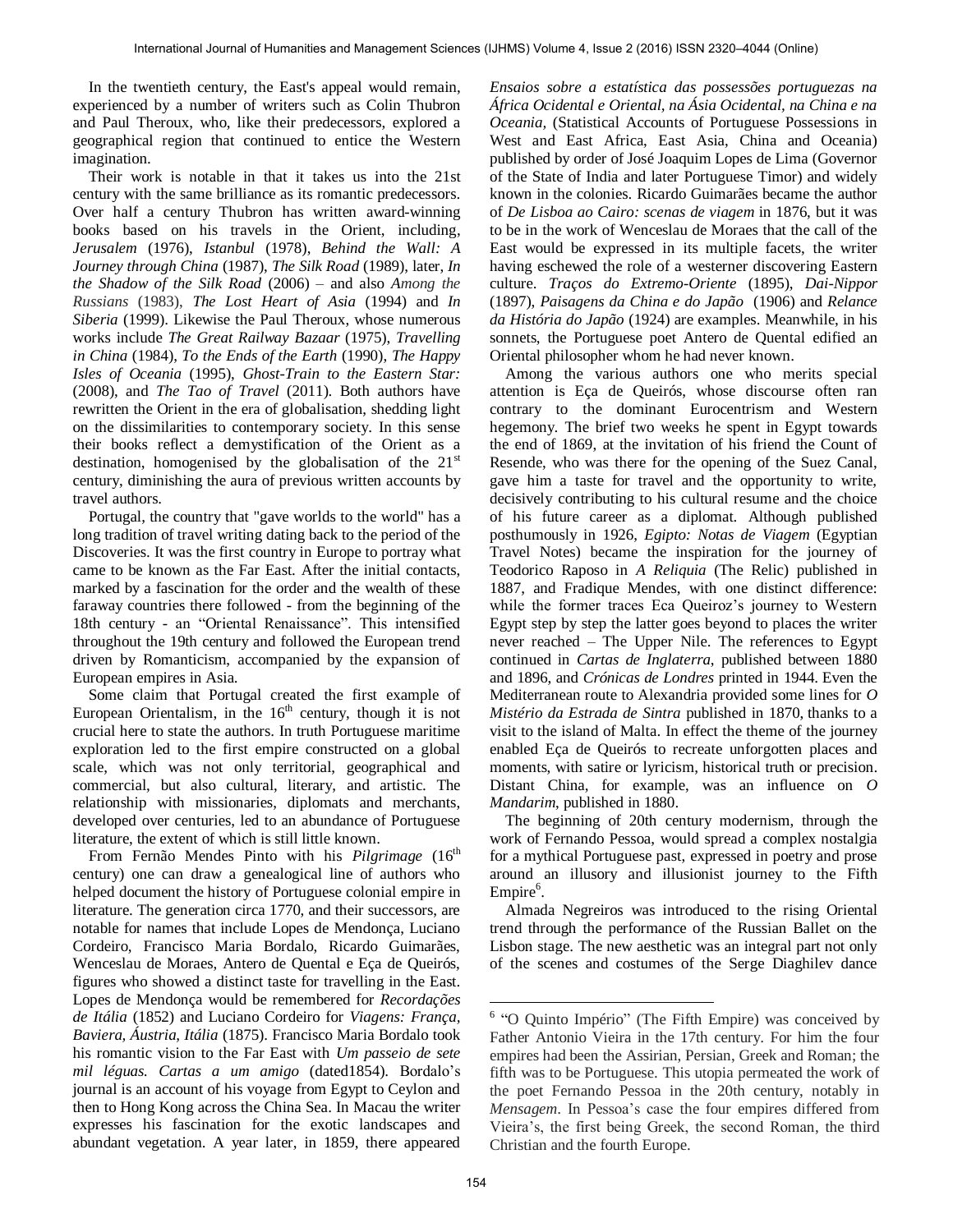In the twentieth century, the East's appeal would remain, experienced by a number of writers such as Colin Thubron and Paul Theroux, who, like their predecessors, explored a geographical region that continued to entice the Western imagination.

Their work is notable in that it takes us into the 21st century with the same brilliance as its romantic predecessors. Over half a century Thubron has written award-winning books based on his travels in the Orient, including, *Jerusalem* (1976), *Istanbul* (1978), *Behind the Wall: A Journey through China* (1987), *The Silk Road* (1989), later, *In the Shadow of the Silk Road* (2006) – and also *Among the Russians* (1983), *The Lost Heart of Asia* (1994) and *In Siberia* (1999). Likewise the Paul Theroux, whose numerous works include *The Great Railway Bazaar* (1975), *Travelling in China* (1984), *To the Ends of the Earth* (1990), *The Happy Isles of Oceania* (1995), *Ghost-Train to the Eastern Star:*  (2008), and *The Tao of Travel* (2011). Both authors have rewritten the Orient in the era of globalisation, shedding light on the dissimilarities to contemporary society. In this sense their books reflect a demystification of the Orient as a destination, homogenised by the globalisation of the  $21<sup>st</sup>$ century, diminishing the aura of previous written accounts by travel authors.

Portugal, the country that "gave worlds to the world" has a long tradition of travel writing dating back to the period of the Discoveries. It was the first country in Europe to portray what came to be known as the Far East. After the initial contacts, marked by a fascination for the order and the wealth of these faraway countries there followed - from the beginning of the 18th century - an "Oriental Renaissance". This intensified throughout the 19th century and followed the European trend driven by Romanticism, accompanied by the expansion of European empires in Asia.

Some claim that Portugal created the first example of European Orientalism, in the  $16<sup>th</sup>$  century, though it is not crucial here to state the authors. In truth Portuguese maritime exploration led to the first empire constructed on a global scale, which was not only territorial, geographical and commercial, but also cultural, literary, and artistic. The relationship with missionaries, diplomats and merchants, developed over centuries, led to an abundance of Portuguese literature, the extent of which is still little known.

From Fernão Mendes Pinto with his *Pilgrimage* (16<sup>th</sup>) century) one can draw a genealogical line of authors who helped document the history of Portuguese colonial empire in literature. The generation circa 1770, and their successors, are notable for names that include Lopes de Mendonça, Luciano Cordeiro, Francisco Maria Bordalo, Ricardo Guimarães, Wenceslau de Moraes, Antero de Quental e Eça de Queirós, figures who showed a distinct taste for travelling in the East. Lopes de Mendonça would be remembered for *Recordações de Itália* (1852) and Luciano Cordeiro for *Viagens: França, Baviera, Áustria, Itália* (1875). Francisco Maria Bordalo took his romantic vision to the Far East with *Um passeio de sete mil léguas. Cartas a um amigo* (dated1854). Bordalo's journal is an account of his voyage from Egypt to Ceylon and then to Hong Kong across the China Sea. In Macau the writer expresses his fascination for the exotic landscapes and abundant vegetation. A year later, in 1859, there appeared

*Ensaios sobre a estatística das possessões portuguezas na África Ocidental e Oriental, na Ásia Ocidental, na China e na Oceania,* (Statistical Accounts of Portuguese Possessions in West and East Africa, East Asia, China and Oceania) published by order of José Joaquim Lopes de Lima (Governor of the State of India and later Portuguese Timor) and widely known in the colonies. Ricardo Guimarães became the author of *De Lisboa ao Cairo: scenas de viagem* in 1876, but it was to be in the work of Wenceslau de Moraes that the call of the East would be expressed in its multiple facets, the writer having eschewed the role of a westerner discovering Eastern culture. *Traços do Extremo-Oriente* (1895), *Dai-Nippor* (1897), *Paisagens da China e do Japão* (1906) and *Relance da História do Japão* (1924) are examples. Meanwhile, in his sonnets, the Portuguese poet Antero de Quental edified an Oriental philosopher whom he had never known.

Among the various authors one who merits special attention is Eça de Queirós, whose discourse often ran contrary to the dominant Eurocentrism and Western hegemony. The brief two weeks he spent in Egypt towards the end of 1869, at the invitation of his friend the Count of Resende, who was there for the opening of the Suez Canal, gave him a taste for travel and the opportunity to write, decisively contributing to his cultural resume and the choice of his future career as a diplomat. Although published posthumously in 1926, *Egipto: Notas de Viagem* (Egyptian Travel Notes) became the inspiration for the journey of Teodorico Raposo in *A Reliquia* (The Relic) published in 1887, and Fradique Mendes, with one distinct difference: while the former traces Eca Queiroz's journey to Western Egypt step by step the latter goes beyond to places the writer never reached – The Upper Nile. The references to Egypt continued in *Cartas de Inglaterra*, published between 1880 and 1896, and *Crónicas de Londres* printed in 1944. Even the Mediterranean route to Alexandria provided some lines for *O Mistério da Estrada de Sintra* published in 1870, thanks to a visit to the island of Malta. In effect the theme of the journey enabled Eça de Queirós to recreate unforgotten places and moments, with satire or lyricism, historical truth or precision. Distant China, for example, was an influence on *O Mandarim*, published in 1880.

The beginning of 20th century modernism, through the work of Fernando Pessoa, would spread a complex nostalgia for a mythical Portuguese past, expressed in poetry and prose around an illusory and illusionist journey to the Fifth Empire<sup>6</sup>.

Almada Negreiros was introduced to the rising Oriental trend through the performance of the Russian Ballet on the Lisbon stage. The new aesthetic was an integral part not only of the scenes and costumes of the Serge Diaghilev dance

 6 "O Quinto Império" (The Fifth Empire) was conceived by Father Antonio Vieira in the 17th century. For him the four empires had been the Assirian, Persian, Greek and Roman; the fifth was to be Portuguese. This utopia permeated the work of the poet Fernando Pessoa in the 20th century, notably in *Mensagem*. In Pessoa's case the four empires differed from Vieira's, the first being Greek, the second Roman, the third Christian and the fourth Europe.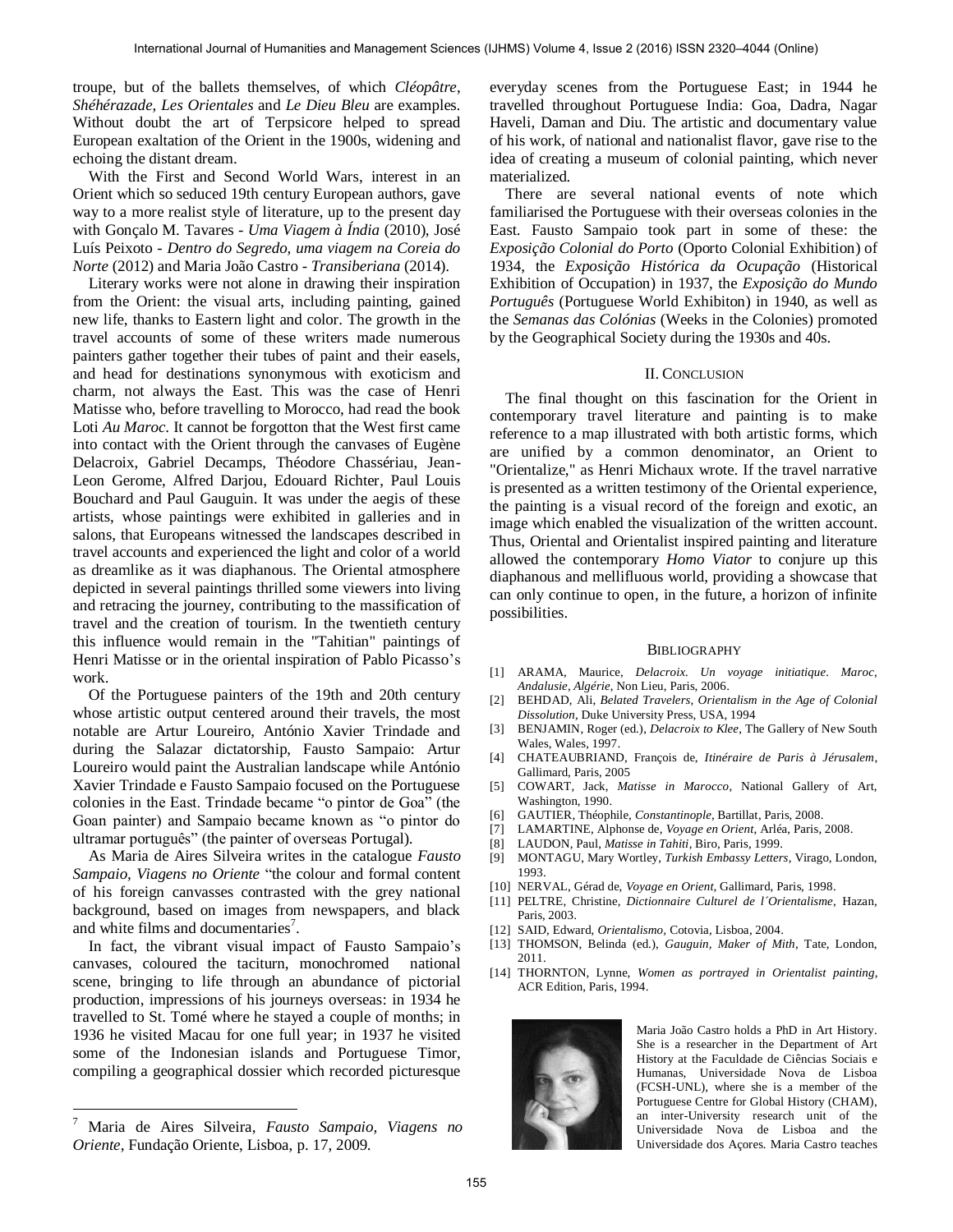troupe, but of the ballets themselves, of which *Cléopâtre*, *Shéhérazade*, *Les Orientales* and *Le Dieu Bleu* are examples. Without doubt the art of Terpsicore helped to spread European exaltation of the Orient in the 1900s, widening and echoing the distant dream.

With the First and Second World Wars, interest in an Orient which so seduced 19th century European authors, gave way to a more realist style of literature, up to the present day with Gonçalo M. Tavares - *Uma Viagem à Índia* (2010), José Luís Peixoto *- Dentro do Segredo, uma viagem na Coreia do Norte* (2012) and Maria João Castro *- Transiberiana* (2014).

Literary works were not alone in drawing their inspiration from the Orient: the visual arts, including painting, gained new life, thanks to Eastern light and color. The growth in the travel accounts of some of these writers made numerous painters gather together their tubes of paint and their easels, and head for destinations synonymous with exoticism and charm, not always the East. This was the case of Henri Matisse who, before travelling to Morocco, had read the book Loti *Au Maroc*. It cannot be forgotton that the West first came into contact with the Orient through the canvases of Eugène Delacroix, Gabriel Decamps, Théodore Chassériau, Jean-Leon Gerome, Alfred Darjou, Edouard Richter, Paul Louis Bouchard and Paul Gauguin. It was under the aegis of these artists, whose paintings were exhibited in galleries and in salons, that Europeans witnessed the landscapes described in travel accounts and experienced the light and color of a world as dreamlike as it was diaphanous. The Oriental atmosphere depicted in several paintings thrilled some viewers into living and retracing the journey, contributing to the massification of travel and the creation of tourism. In the twentieth century this influence would remain in the "Tahitian" paintings of Henri Matisse or in the oriental inspiration of Pablo Picasso's work.

Of the Portuguese painters of the 19th and 20th century whose artistic output centered around their travels, the most notable are Artur Loureiro, António Xavier Trindade and during the Salazar dictatorship, Fausto Sampaio: Artur Loureiro would paint the Australian landscape while António Xavier Trindade e Fausto Sampaio focused on the Portuguese colonies in the East. Trindade became "o pintor de Goa" (the Goan painter) and Sampaio became known as "o pintor do ultramar português" (the painter of overseas Portugal).

As Maria de Aires Silveira writes in the catalogue *Fausto Sampaio, Viagens no Oriente* "the colour and formal content of his foreign canvasses contrasted with the grey national background, based on images from newspapers, and black and white films and documentaries<sup>7</sup>.

In fact, the vibrant visual impact of Fausto Sampaio's canvases, coloured the taciturn, monochromed national scene, bringing to life through an abundance of pictorial production, impressions of his journeys overseas: in 1934 he travelled to St. Tomé where he stayed a couple of months; in 1936 he visited Macau for one full year; in 1937 he visited some of the Indonesian islands and Portuguese Timor, compiling a geographical dossier which recorded picturesque everyday scenes from the Portuguese East; in 1944 he travelled throughout Portuguese India: Goa, Dadra, Nagar Haveli, Daman and Diu. The artistic and documentary value of his work, of national and nationalist flavor, gave rise to the idea of creating a museum of colonial painting, which never materialized.

There are several national events of note which familiarised the Portuguese with their overseas colonies in the East. Fausto Sampaio took part in some of these: the *Exposição Colonial do Porto* (Oporto Colonial Exhibition) of 1934, the *Exposição Histórica da Ocupação* (Historical Exhibition of Occupation) in 1937, the *Exposição do Mundo Português* (Portuguese World Exhibiton) in 1940, as well as the *Semanas das Colónias* (Weeks in the Colonies) promoted by the Geographical Society during the 1930s and 40s.

### II. CONCLUSION

The final thought on this fascination for the Orient in contemporary travel literature and painting is to make reference to a map illustrated with both artistic forms, which are unified by a common denominator, an Orient to "Orientalize," as Henri Michaux wrote. If the travel narrative is presented as a written testimony of the Oriental experience, the painting is a visual record of the foreign and exotic, an image which enabled the visualization of the written account. Thus, Oriental and Orientalist inspired painting and literature allowed the contemporary *Homo Viator* to conjure up this diaphanous and mellifluous world, providing a showcase that can only continue to open, in the future, a horizon of infinite possibilities.

#### **BIBLIOGRAPHY**

- [1] ARAMA, Maurice, *Delacroix. Un voyage initiatique. Maroc, Andalusie, Algérie*, Non Lieu, Paris, 2006.
- [2] BEHDAD, Ali, *Belated Travelers, Orientalism in the Age of Colonial Dissolution,* Duke University Press, USA, 1994
- [3] BENJAMIN, Roger (ed.), *Delacroix to Klee*, The Gallery of New South Wales, Wales, 1997.
- [4] CHATEAUBRIAND, François de, *Itinéraire de Paris à Jérusalem*, Gallimard, Paris, 2005
- [5] COWART, Jack, *Matisse in Marocco*, National Gallery of Art, Washington, 1990.
- [6] GAUTIER, Théophile, *Constantinople*, Bartillat, Paris, 2008.
- [7] LAMARTINE, Alphonse de, *Voyage en Orient*, Arléa, Paris, 2008.
- [8] LAUDON, Paul, *Matisse in Tahiti*, Biro, Paris, 1999.
- [9] MONTAGU, Mary Wortley, *Turkish Embassy Letters*, Virago, London, 1993.
- [10] NERVAL, Gérad de, *Voyage en Orient,* Gallimard, Paris, 1998.
- [11] PELTRE, Christine, *Dictionnaire Culturel de l´Orientalisme,* Hazan, Paris, 2003.
- [12] SAID, Edward, *Orientalismo,* Cotovia, Lisboa, 2004.
- [13] THOMSON, Belinda (ed.), *Gauguin, Maker of Mith*, Tate, London, 2011.
- [14] THORNTON, Lynne, *Women as portrayed in Orientalist painting*, ACR Edition, Paris, 1994.



Maria João Castro holds a PhD in Art History. She is a researcher in the Department of Art History at the Faculdade de Ciências Sociais e Humanas, Universidade Nova de Lisboa (FCSH-UNL), where she is a member of the Portuguese Centre for Global History (CHAM), an inter-University research unit of the Universidade Nova de Lisboa and the Universidade dos Açores. Maria Castro teaches

<sup>&</sup>lt;sup>-</sup>7 Maria de Aires Silveira, *Fausto Sampaio, Viagens no Oriente*, Fundação Oriente, Lisboa, p. 17, 2009.